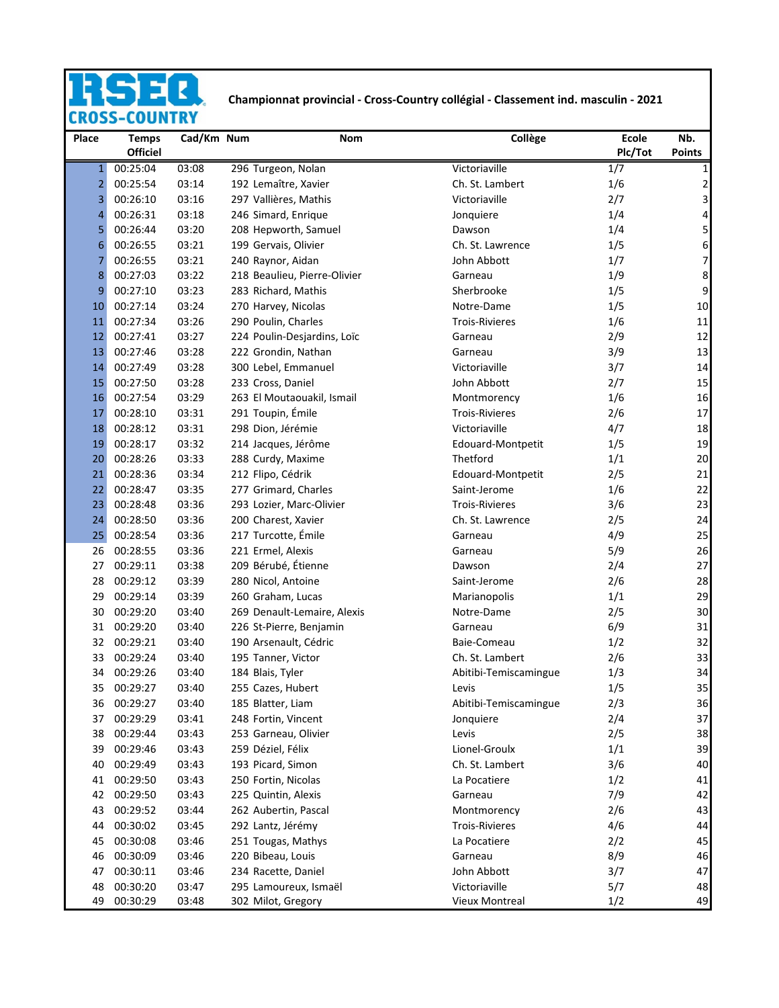## Ę. **DAC**

## **Championnat provincial - Cross-Country collégial - Classement ind. masculin - 2021**<br>S-COUNTRY

| Place          | <b>Temps</b><br><b>Officiel</b> | Cad/Km Num     | Nom                                         | Collège                         | <b>Ecole</b><br>Plc/Tot | Nb.<br><b>Points</b>     |
|----------------|---------------------------------|----------------|---------------------------------------------|---------------------------------|-------------------------|--------------------------|
| $\mathbf{1}$   | 00:25:04                        | 03:08          | 296 Turgeon, Nolan                          | Victoriaville                   | 1/7                     | $\mathbf{1}$             |
| $\overline{2}$ | 00:25:54                        | 03:14          | 192 Lemaître, Xavier                        | Ch. St. Lambert                 | 1/6                     | $\overline{\mathbf{c}}$  |
| 3              | 00:26:10                        | 03:16          | 297 Vallières, Mathis                       | Victoriaville                   | 2/7                     | $\overline{\mathbf{3}}$  |
| 4              | 00:26:31                        | 03:18          | 246 Simard, Enrique                         | Jonquiere                       | 1/4                     | 4                        |
| 5              | 00:26:44                        | 03:20          | 208 Hepworth, Samuel                        | Dawson                          | 1/4                     | 5                        |
| 6              | 00:26:55                        | 03:21          | 199 Gervais, Olivier                        | Ch. St. Lawrence                | 1/5                     | 6                        |
| 7              | 00:26:55                        | 03:21          | 240 Raynor, Aidan                           | John Abbott                     | 1/7                     | $\overline{\phantom{a}}$ |
| 8              | 00:27:03                        | 03:22          | 218 Beaulieu, Pierre-Olivier                | Garneau                         | 1/9                     | 8                        |
| 9              | 00:27:10                        | 03:23          | 283 Richard, Mathis                         | Sherbrooke                      | 1/5                     | 9                        |
| 10             | 00:27:14                        | 03:24          | 270 Harvey, Nicolas                         | Notre-Dame                      | 1/5                     | 10                       |
| 11             | 00:27:34                        | 03:26          | 290 Poulin, Charles                         | <b>Trois-Rivieres</b>           | 1/6                     | 11                       |
| 12             | 00:27:41                        | 03:27          | 224 Poulin-Desjardins, Loïc                 | Garneau                         | 2/9                     | 12                       |
| 13             | 00:27:46                        | 03:28          | 222 Grondin, Nathan                         | Garneau                         | 3/9                     | 13                       |
| 14             | 00:27:49                        | 03:28          | 300 Lebel, Emmanuel                         | Victoriaville                   | 3/7                     | 14                       |
| 15             | 00:27:50                        | 03:28          | 233 Cross, Daniel                           | John Abbott                     | 2/7                     | 15                       |
| 16             | 00:27:54                        | 03:29          | 263 El Moutaouakil, Ismail                  | Montmorency                     | 1/6                     | 16                       |
| 17             | 00:28:10                        | 03:31          | 291 Toupin, Émile                           | <b>Trois-Rivieres</b>           | 2/6                     | 17                       |
| 18             | 00:28:12                        | 03:31          | 298 Dion, Jérémie                           | Victoriaville                   | 4/7                     | 18                       |
| 19             | 00:28:17                        | 03:32          | 214 Jacques, Jérôme                         | Edouard-Montpetit               | 1/5                     | 19                       |
| 20             | 00:28:26                        | 03:33          | 288 Curdy, Maxime                           | Thetford                        | 1/1                     | 20                       |
| 21             | 00:28:36                        | 03:34          | 212 Flipo, Cédrik                           | Edouard-Montpetit               | 2/5                     | 21                       |
| 22             | 00:28:47                        | 03:35          | 277 Grimard, Charles                        | Saint-Jerome                    | 1/6                     | 22                       |
| 23             | 00:28:48                        | 03:36          | 293 Lozier, Marc-Olivier                    | <b>Trois-Rivieres</b>           | 3/6                     | 23                       |
| 24             | 00:28:50                        | 03:36          | 200 Charest, Xavier                         | Ch. St. Lawrence                | 2/5                     | 24                       |
| 25             | 00:28:54                        | 03:36          | 217 Turcotte, Émile                         | Garneau                         | 4/9                     | 25                       |
| 26             | 00:28:55                        | 03:36          | 221 Ermel, Alexis                           | Garneau                         | 5/9                     | 26                       |
| 27             | 00:29:11                        | 03:38          | 209 Bérubé, Étienne                         | Dawson                          | 2/4                     | 27                       |
| 28             | 00:29:12                        | 03:39          | 280 Nicol, Antoine                          | Saint-Jerome                    | 2/6                     | 28                       |
| 29             | 00:29:14                        | 03:39          | 260 Graham, Lucas                           | Marianopolis                    | 1/1                     | 29                       |
| 30             | 00:29:20                        | 03:40          | 269 Denault-Lemaire, Alexis                 | Notre-Dame                      | 2/5                     | 30                       |
| 31             | 00:29:20                        | 03:40          | 226 St-Pierre, Benjamin                     | Garneau                         | 6/9                     | 31                       |
| 32             | 00:29:21                        | 03:40          | 190 Arsenault, Cédric                       | Baie-Comeau                     | 1/2                     | 32                       |
| 33             | 00:29:24                        | 03:40          | 195 Tanner, Victor                          | Ch. St. Lambert                 | 2/6                     | 33                       |
| 34             | 00:29:26                        | 03:40          | 184 Blais, Tyler                            | Abitibi-Temiscamingue           | 1/3                     | 34                       |
| 35             | 00:29:27                        | 03:40          | 255 Cazes, Hubert                           | Levis                           | 1/5                     | 35                       |
| 36             | 00:29:27                        | 03:40          | 185 Blatter, Liam                           | Abitibi-Temiscamingue           | 2/3                     | 36                       |
| 37             | 00:29:29                        | 03:41          | 248 Fortin, Vincent                         | Jonquiere                       | 2/4                     | 37                       |
| 38             | 00:29:44                        | 03:43          | 253 Garneau, Olivier                        | Levis                           | 2/5                     | 38                       |
| 39             | 00:29:46                        | 03:43          | 259 Déziel, Félix                           | Lionel-Groulx                   | 1/1                     | 39                       |
| 40             | 00:29:49                        | 03:43          | 193 Picard, Simon                           | Ch. St. Lambert                 | 3/6                     | 40                       |
| 41             | 00:29:50                        | 03:43          | 250 Fortin, Nicolas                         | La Pocatiere                    | 1/2                     | 41                       |
| 42             | 00:29:50                        | 03:43          | 225 Quintin, Alexis                         | Garneau                         | 7/9                     | 42                       |
| 43             | 00:29:52                        | 03:44          | 262 Aubertin, Pascal                        | Montmorency                     | 2/6                     | 43                       |
| 44             | 00:30:02                        | 03:45          | 292 Lantz, Jérémy                           | <b>Trois-Rivieres</b>           | 4/6                     | 44                       |
| 45             | 00:30:08                        | 03:46          | 251 Tougas, Mathys                          | La Pocatiere                    | 2/2                     | 45                       |
| 46             | 00:30:09                        | 03:46          | 220 Bibeau, Louis                           | Garneau                         | 8/9                     | 46                       |
| 47             | 00:30:11                        | 03:46          | 234 Racette, Daniel                         | John Abbott                     | 3/7                     | 47                       |
| 48<br>49       | 00:30:20<br>00:30:29            | 03:47<br>03:48 | 295 Lamoureux, Ismaël<br>302 Milot, Gregory | Victoriaville<br>Vieux Montreal | 5/7<br>1/2              | 48<br>49                 |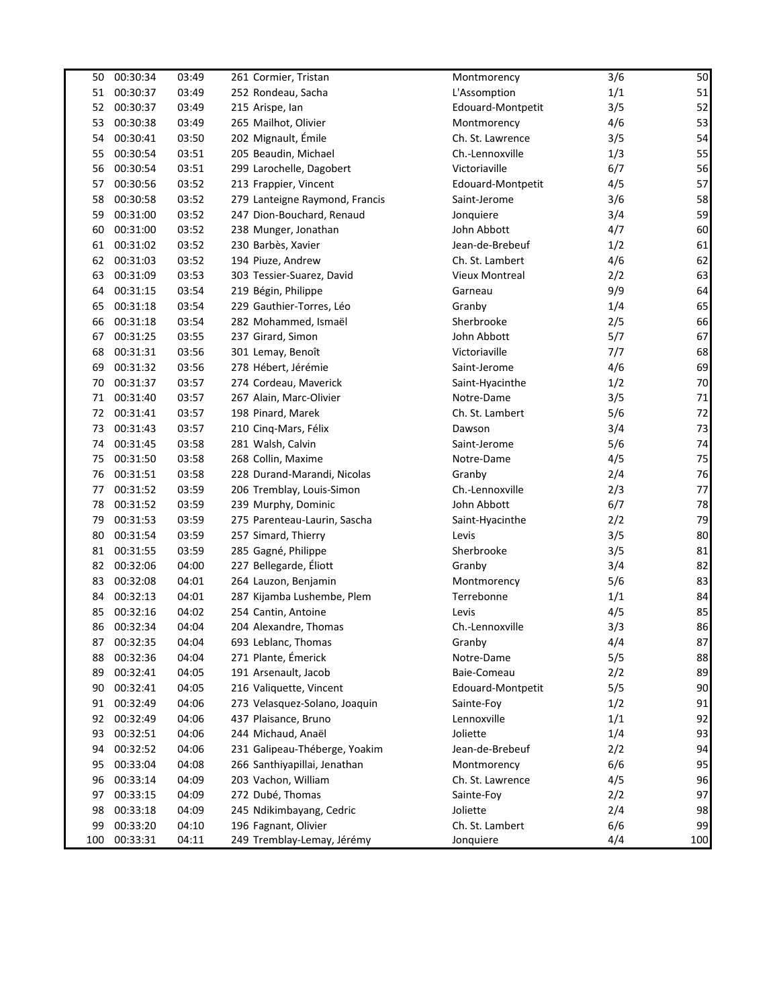| 50  | 00:30:34 | 03:49 | 261 Cormier, Tristan           | Montmorency           | 3/6 | 50     |
|-----|----------|-------|--------------------------------|-----------------------|-----|--------|
| 51  | 00:30:37 | 03:49 | 252 Rondeau, Sacha             | L'Assomption          | 1/1 | 51     |
| 52  | 00:30:37 | 03:49 | 215 Arispe, lan                | Edouard-Montpetit     | 3/5 | 52     |
| 53  | 00:30:38 | 03:49 | 265 Mailhot, Olivier           | Montmorency           | 4/6 | 53     |
| 54  | 00:30:41 | 03:50 | 202 Mignault, Émile            | Ch. St. Lawrence      | 3/5 | 54     |
| 55  | 00:30:54 | 03:51 | 205 Beaudin, Michael           | Ch.-Lennoxville       | 1/3 | 55     |
| 56  | 00:30:54 | 03:51 | 299 Larochelle, Dagobert       | Victoriaville         | 6/7 | 56     |
| 57  | 00:30:56 | 03:52 | 213 Frappier, Vincent          | Edouard-Montpetit     | 4/5 | 57     |
| 58  | 00:30:58 | 03:52 | 279 Lanteigne Raymond, Francis | Saint-Jerome          | 3/6 | 58     |
| 59  | 00:31:00 | 03:52 | 247 Dion-Bouchard, Renaud      | Jonquiere             | 3/4 | 59     |
| 60  | 00:31:00 | 03:52 | 238 Munger, Jonathan           | John Abbott           | 4/7 | 60     |
| 61  | 00:31:02 | 03:52 | 230 Barbès, Xavier             | Jean-de-Brebeuf       | 1/2 | 61     |
| 62  | 00:31:03 | 03:52 | 194 Piuze, Andrew              | Ch. St. Lambert       | 4/6 | 62     |
| 63  | 00:31:09 | 03:53 | 303 Tessier-Suarez, David      | <b>Vieux Montreal</b> | 2/2 | 63     |
| 64  | 00:31:15 | 03:54 | 219 Bégin, Philippe            | Garneau               | 9/9 | 64     |
| 65  | 00:31:18 | 03:54 | 229 Gauthier-Torres, Léo       | Granby                | 1/4 | 65     |
| 66  | 00:31:18 | 03:54 | 282 Mohammed, Ismaël           | Sherbrooke            | 2/5 | 66     |
| 67  | 00:31:25 | 03:55 | 237 Girard, Simon              | John Abbott           | 5/7 | 67     |
| 68  | 00:31:31 | 03:56 | 301 Lemay, Benoît              | Victoriaville         | 7/7 | 68     |
| 69  | 00:31:32 | 03:56 | 278 Hébert, Jérémie            | Saint-Jerome          | 4/6 | 69     |
| 70  | 00:31:37 | 03:57 | 274 Cordeau, Maverick          | Saint-Hyacinthe       | 1/2 | $70\,$ |
| 71  | 00:31:40 | 03:57 | 267 Alain, Marc-Olivier        | Notre-Dame            | 3/5 | 71     |
| 72  | 00:31:41 | 03:57 | 198 Pinard, Marek              | Ch. St. Lambert       | 5/6 | 72     |
| 73  | 00:31:43 | 03:57 | 210 Cinq-Mars, Félix           | Dawson                | 3/4 | 73     |
| 74  | 00:31:45 | 03:58 | 281 Walsh, Calvin              | Saint-Jerome          | 5/6 | 74     |
| 75  | 00:31:50 | 03:58 | 268 Collin, Maxime             | Notre-Dame            | 4/5 | 75     |
| 76  | 00:31:51 | 03:58 | 228 Durand-Marandi, Nicolas    | Granby                | 2/4 | 76     |
| 77  | 00:31:52 | 03:59 | 206 Tremblay, Louis-Simon      | Ch.-Lennoxville       | 2/3 | 77     |
| 78  | 00:31:52 | 03:59 | 239 Murphy, Dominic            | John Abbott           | 6/7 | 78     |
| 79  | 00:31:53 | 03:59 | 275 Parenteau-Laurin, Sascha   | Saint-Hyacinthe       | 2/2 | 79     |
| 80  | 00:31:54 | 03:59 | 257 Simard, Thierry            | Levis                 | 3/5 | 80     |
| 81  | 00:31:55 | 03:59 | 285 Gagné, Philippe            | Sherbrooke            | 3/5 | 81     |
| 82  | 00:32:06 | 04:00 | 227 Bellegarde, Éliott         | Granby                | 3/4 | 82     |
| 83  | 00:32:08 | 04:01 | 264 Lauzon, Benjamin           | Montmorency           | 5/6 | 83     |
| 84  | 00:32:13 | 04:01 | 287 Kijamba Lushembe, Plem     | Terrebonne            | 1/1 | 84     |
| 85  | 00:32:16 | 04:02 | 254 Cantin, Antoine            | Levis                 | 4/5 | 85     |
| 86  | 00:32:34 | 04:04 | 204 Alexandre, Thomas          | Ch.-Lennoxville       | 3/3 | 86     |
| 87  | 00:32:35 | 04:04 | 693 Leblanc, Thomas            | Granby                | 4/4 | 87     |
| 88  | 00:32:36 | 04:04 | 271 Plante, Émerick            | Notre-Dame            | 5/5 | 88     |
| 89  | 00:32:41 | 04:05 | 191 Arsenault, Jacob           | Baie-Comeau           | 2/2 | 89     |
| 90  | 00:32:41 | 04:05 | 216 Valiquette, Vincent        | Edouard-Montpetit     | 5/5 | 90     |
| 91  | 00:32:49 | 04:06 | 273 Velasquez-Solano, Joaquin  | Sainte-Foy            | 1/2 | 91     |
| 92  | 00:32:49 | 04:06 | 437 Plaisance, Bruno           | Lennoxville           | 1/1 | 92     |
| 93  | 00:32:51 | 04:06 | 244 Michaud, Anaël             | Joliette              | 1/4 | 93     |
| 94  | 00:32:52 | 04:06 | 231 Galipeau-Théberge, Yoakim  | Jean-de-Brebeuf       | 2/2 | 94     |
| 95  | 00:33:04 | 04:08 | 266 Santhiyapillai, Jenathan   | Montmorency           | 6/6 | 95     |
| 96  | 00:33:14 | 04:09 | 203 Vachon, William            | Ch. St. Lawrence      | 4/5 | 96     |
| 97  | 00:33:15 | 04:09 | 272 Dubé, Thomas               | Sainte-Foy            | 2/2 | 97     |
| 98  | 00:33:18 | 04:09 | 245 Ndikimbayang, Cedric       | Joliette              | 2/4 | 98     |
| 99  | 00:33:20 | 04:10 | 196 Fagnant, Olivier           | Ch. St. Lambert       | 6/6 | 99     |
| 100 | 00:33:31 | 04:11 | 249 Tremblay-Lemay, Jérémy     | Jonquiere             | 4/4 | 100    |